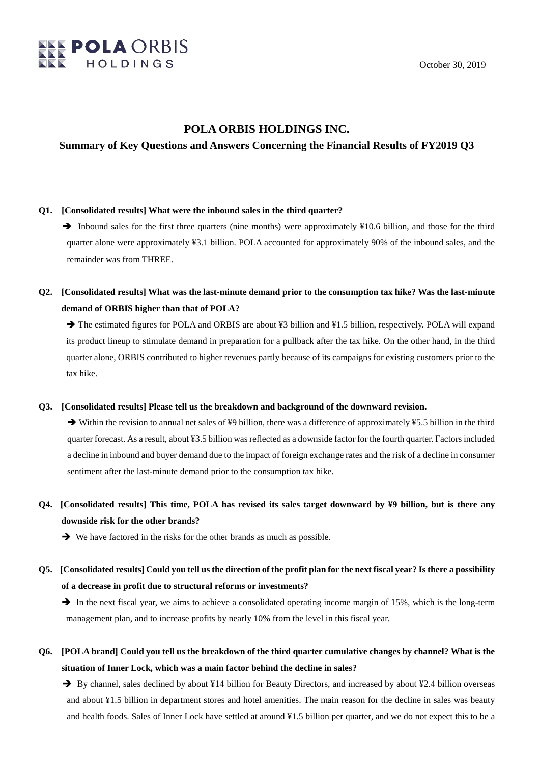

### **POLA ORBIS HOLDINGS INC.**

### **Summary of Key Questions and Answers Concerning the Financial Results of FY2019 Q3**

#### **Q1. [Consolidated results] What were the inbound sales in the third quarter?**

 $\rightarrow$  Inbound sales for the first three quarters (nine months) were approximately ¥10.6 billion, and those for the third quarter alone were approximately ¥3.1 billion. POLA accounted for approximately 90% of the inbound sales, and the remainder was from THREE.

## **Q2. [Consolidated results] What was the last-minute demand prior to the consumption tax hike? Was the last-minute demand of ORBIS higher than that of POLA?**

→ The estimated figures for POLA and ORBIS are about ¥3 billion and ¥1.5 billion, respectively. POLA will expand its product lineup to stimulate demand in preparation for a pullback after the tax hike. On the other hand, in the third quarter alone, ORBIS contributed to higher revenues partly because of its campaigns for existing customers prior to the tax hike.

#### **Q3. [Consolidated results] Please tell us the breakdown and background of the downward revision.**

 $\rightarrow$  Within the revision to annual net sales of ¥9 billion, there was a difference of approximately ¥5.5 billion in the third quarter forecast. As a result, about ¥3.5 billion was reflected as a downside factor for the fourth quarter. Factors included a decline in inbound and buyer demand due to the impact of foreign exchange rates and the risk of a decline in consumer sentiment after the last-minute demand prior to the consumption tax hike.

# **Q4. [Consolidated results] This time, POLA has revised its sales target downward by ¥9 billion, but is there any downside risk for the other brands?**

 $\rightarrow$  We have factored in the risks for the other brands as much as possible.

## **Q5. [Consolidated results] Could you tell us the direction of the profit plan for the next fiscal year? Is there a possibility of a decrease in profit due to structural reforms or investments?**

 $\rightarrow$  In the next fiscal year, we aims to achieve a consolidated operating income margin of 15%, which is the long-term management plan, and to increase profits by nearly 10% from the level in this fiscal year.

**Q6. [POLA brand] Could you tell us the breakdown of the third quarter cumulative changes by channel? What is the situation of Inner Lock, which was a main factor behind the decline in sales?**

 $\rightarrow$  By channel, sales declined by about ¥14 billion for Beauty Directors, and increased by about ¥2.4 billion overseas and about ¥1.5 billion in department stores and hotel amenities. The main reason for the decline in sales was beauty and health foods. Sales of Inner Lock have settled at around ¥1.5 billion per quarter, and we do not expect this to be a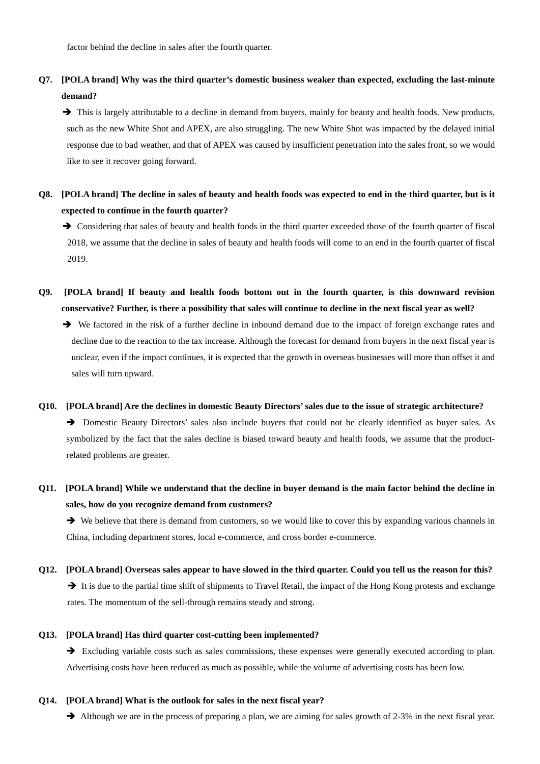# **Q7. [POLA brand] Why was the third quarter's domestic business weaker than expected, excluding the last-minute demand?**

 $\rightarrow$  This is largely attributable to a decline in demand from buyers, mainly for beauty and health foods. New products, such as the new White Shot and APEX, are also struggling. The new White Shot was impacted by the delayed initial response due to bad weather, and that of APEX was caused by insufficient penetration into the sales front, so we would like to see it recover going forward.

## **Q8. [POLA brand] The decline in sales of beauty and health foods was expected to end in the third quarter, but is it expected to continue in the fourth quarter?**

 $\rightarrow$  Considering that sales of beauty and health foods in the third quarter exceeded those of the fourth quarter of fiscal 2018, we assume that the decline in sales of beauty and health foods will come to an end in the fourth quarter of fiscal 2019.

- **Q9. [POLA brand] If beauty and health foods bottom out in the fourth quarter, is this downward revision conservative? Further, is there a possibility that sales will continue to decline in the next fiscal year as well?**
	- We factored in the risk of a further decline in inbound demand due to the impact of foreign exchange rates and decline due to the reaction to the tax increase. Although the forecast for demand from buyers in the next fiscal year is unclear, even if the impact continues, it is expected that the growth in overseas businesses will more than offset it and sales will turn upward.

#### **Q10. [POLA brand] Are the declines in domestic Beauty Directors'sales due to the issue of strategic architecture?**

 Domestic Beauty Directors' sales also include buyers that could not be clearly identified as buyer sales. As symbolized by the fact that the sales decline is biased toward beauty and health foods, we assume that the productrelated problems are greater.

### **Q11. [POLA brand] While we understand that the decline in buyer demand is the main factor behind the decline in sales, how do you recognize demand from customers?**

We believe that there is demand from customers, so we would like to cover this by expanding various channels in China, including department stores, local e-commerce, and cross border e-commerce.

### **Q12. [POLA brand] Overseas sales appear to have slowed in the third quarter. Could you tell us the reason for this?**

It is due to the partial time shift of shipments to Travel Retail, the impact of the Hong Kong protests and exchange rates. The momentum of the sell-through remains steady and strong.

#### **Q13. [POLA brand] Has third quarter cost-cutting been implemented?**

 Excluding variable costs such as sales commissions, these expenses were generally executed according to plan. Advertising costs have been reduced as much as possible, while the volume of advertising costs has been low.

#### **Q14. [POLA brand] What is the outlook for sales in the next fiscal year?**

Although we are in the process of preparing a plan, we are aiming for sales growth of 2-3% in the next fiscal year.